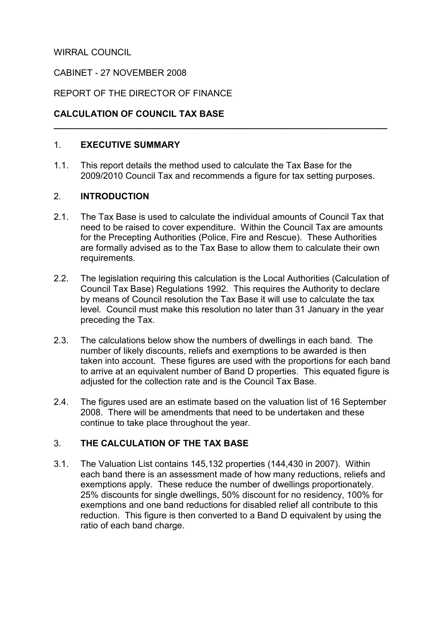# WIRRAL COUNCIL

# CABINET - 27 NOVEMBER 2008

# REPORT OF THE DIRECTOR OF FINANCE

# CALCULATION OF COUNCIL TAX BASE

### 1. EXECUTIVE SUMMARY

1.1. This report details the method used to calculate the Tax Base for the 2009/2010 Council Tax and recommends a figure for tax setting purposes.

 $\overline{\phantom{a}}$  , and the contribution of the contribution of the contribution of the contribution of the contribution of the contribution of the contribution of the contribution of the contribution of the contribution of the

## 2. INTRODUCTION

- 2.1. The Tax Base is used to calculate the individual amounts of Council Tax that need to be raised to cover expenditure. Within the Council Tax are amounts for the Precepting Authorities (Police, Fire and Rescue). These Authorities are formally advised as to the Tax Base to allow them to calculate their own requirements.
- 2.2. The legislation requiring this calculation is the Local Authorities (Calculation of Council Tax Base) Regulations 1992. This requires the Authority to declare by means of Council resolution the Tax Base it will use to calculate the tax level. Council must make this resolution no later than 31 January in the year preceding the Tax.
- 2.3. The calculations below show the numbers of dwellings in each band. The number of likely discounts, reliefs and exemptions to be awarded is then taken into account. These figures are used with the proportions for each band to arrive at an equivalent number of Band D properties. This equated figure is adjusted for the collection rate and is the Council Tax Base.
- 2.4. The figures used are an estimate based on the valuation list of 16 September 2008. There will be amendments that need to be undertaken and these continue to take place throughout the year.

# 3. THE CALCULATION OF THE TAX BASE

3.1. The Valuation List contains 145,132 properties (144,430 in 2007). Within each band there is an assessment made of how many reductions, reliefs and exemptions apply. These reduce the number of dwellings proportionately. 25% discounts for single dwellings, 50% discount for no residency, 100% for exemptions and one band reductions for disabled relief all contribute to this reduction. This figure is then converted to a Band D equivalent by using the ratio of each band charge.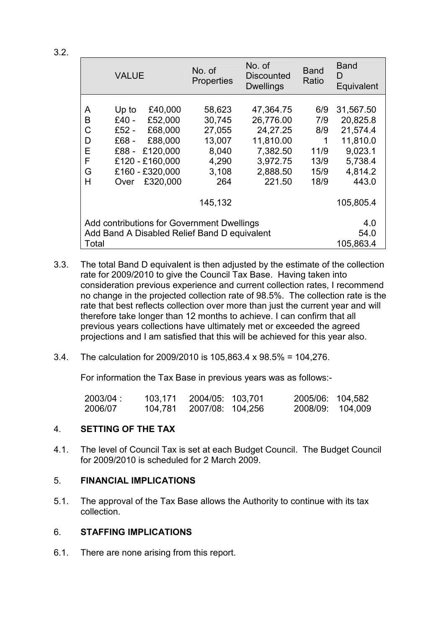|                                              | <b>VALUE</b> |                 | No. of<br>Properties | No. of<br><b>Discounted</b><br><b>Dwellings</b> | <b>Band</b><br>Ratio | <b>Band</b><br>D<br>Equivalent |  |
|----------------------------------------------|--------------|-----------------|----------------------|-------------------------------------------------|----------------------|--------------------------------|--|
|                                              |              |                 |                      |                                                 |                      |                                |  |
| A                                            | Up to        | £40,000         | 58,623               | 47,364.75                                       | 6/9                  | 31,567.50                      |  |
| B                                            | $£40 -$      | £52,000         | 30,745               | 26,776.00                                       | 7/9                  | 20,825.8                       |  |
| С                                            | £52 $-$      | £68,000         | 27,055               | 24, 27. 25                                      | 8/9                  | 21,574.4                       |  |
| D                                            | £68 -        | £88,000         | 13,007               | 11,810.00                                       | 1                    | 11,810.0                       |  |
| E                                            | £88 -        | £120,000        | 8,040                | 7,382.50                                        | 11/9                 | 9,023.1                        |  |
| F                                            |              | £120 - £160,000 | 4,290                | 3,972.75                                        | 13/9                 | 5,738.4                        |  |
| G                                            |              | £160 - £320,000 | 3,108                | 2,888.50                                        | 15/9                 | 4,814.2                        |  |
| Н                                            | Over         | £320,000        | 264                  | 221.50                                          | 18/9                 | 443.0                          |  |
|                                              |              |                 |                      |                                                 |                      |                                |  |
|                                              |              |                 | 145,132              |                                                 |                      | 105,805.4                      |  |
| Add contributions for Government Dwellings   |              |                 |                      |                                                 |                      |                                |  |
|                                              | 4.0          |                 |                      |                                                 |                      |                                |  |
| Add Band A Disabled Relief Band D equivalent | 54.0         |                 |                      |                                                 |                      |                                |  |
| Total                                        |              |                 |                      |                                                 |                      |                                |  |

- 3.3. The total Band D equivalent is then adjusted by the estimate of the collection rate for 2009/2010 to give the Council Tax Base. Having taken into consideration previous experience and current collection rates, I recommend no change in the projected collection rate of 98.5%. The collection rate is the rate that best reflects collection over more than just the current year and will therefore take longer than 12 months to achieve. I can confirm that all previous years collections have ultimately met or exceeded the agreed projections and I am satisfied that this will be achieved for this year also.
- 3.4. The calculation for 2009/2010 is 105,863.4 x 98.5% = 104,276.

For information the Tax Base in previous years was as follows:-

| 2003/04: | 103,171 | 2004/05: 103.701 | 2005/06: 104,582 |  |
|----------|---------|------------------|------------------|--|
| 2006/07  | 104,781 | 2007/08: 104,256 | 2008/09: 104,009 |  |

# 4. SETTING OF THE TAX

4.1. The level of Council Tax is set at each Budget Council. The Budget Council for 2009/2010 is scheduled for 2 March 2009.

# 5. FINANCIAL IMPLICATIONS

5.1. The approval of the Tax Base allows the Authority to continue with its tax collection.

# 6. STAFFING IMPLICATIONS

6.1. There are none arising from this report.

3.2.